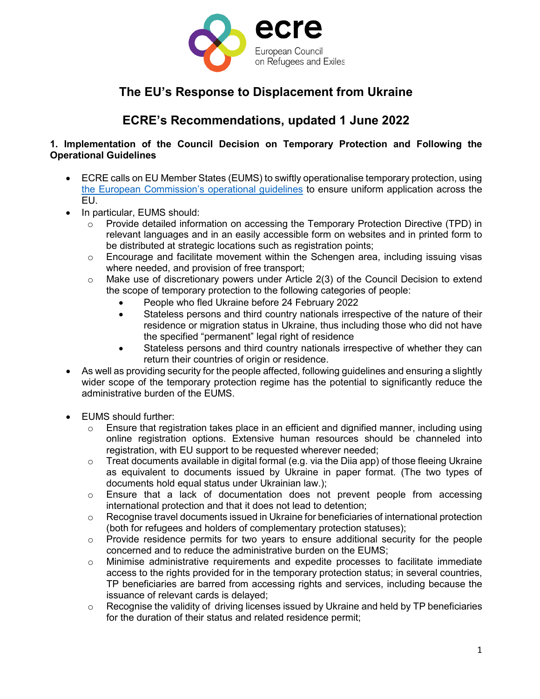

# **The EU's Response to Displacement from Ukraine**

## **ECRE's Recommendations, updated 1 June 2022**

#### **1. Implementation of the Council Decision on Temporary Protection and Following the Operational Guidelines**

- ECRE calls on EU Member States (EUMS) to swiftly operationalise temporary protection, using [the European Commission's operational guidelines](https://ec.europa.eu/home-affairs/communication-operational-guidelines-establishing-existence-mass-influx-displaced-persons-ukraine_en) to ensure uniform application across the EU.
- In particular, EUMS should:
	- $\circ$  Provide detailed information on accessing the Temporary Protection Directive (TPD) in relevant languages and in an easily accessible form on websites and in printed form to be distributed at strategic locations such as registration points;
	- o Encourage and facilitate movement within the Schengen area, including issuing visas where needed, and provision of free transport;
	- $\circ$  Make use of discretionary powers under Article 2(3) of the Council Decision to extend the scope of temporary protection to the following categories of people:
		- People who fled Ukraine before 24 February 2022
		- Stateless persons and third country nationals irrespective of the nature of their residence or migration status in Ukraine, thus including those who did not have the specified "permanent" legal right of residence
		- Stateless persons and third country nationals irrespective of whether they can return their countries of origin or residence.
- As well as providing security for the people affected, following guidelines and ensuring a slightly wider scope of the temporary protection regime has the potential to significantly reduce the administrative burden of the EUMS.
- EUMS should further:
	- $\circ$  Ensure that registration takes place in an efficient and dignified manner, including using online registration options. Extensive human resources should be channeled into registration, with EU support to be requested wherever needed;
	- o Treat documents available in digital formal (e.g. via the Diia app) of those fleeing Ukraine as equivalent to documents issued by Ukraine in paper format. (The two types of documents hold equal status under Ukrainian law.);
	- o Ensure that a lack of documentation does not prevent people from accessing international protection and that it does not lead to detention;
	- $\circ$  Recognise travel documents issued in Ukraine for beneficiaries of international protection (both for refugees and holders of complementary protection statuses);
	- $\circ$  Provide residence permits for two years to ensure additional security for the people concerned and to reduce the administrative burden on the EUMS;
	- o Minimise administrative requirements and expedite processes to facilitate immediate access to the rights provided for in the temporary protection status; in several countries, TP beneficiaries are barred from accessing rights and services, including because the issuance of relevant cards is delayed;
	- o Recognise the validity of driving licenses issued by Ukraine and held by TP beneficiaries for the duration of their status and related residence permit;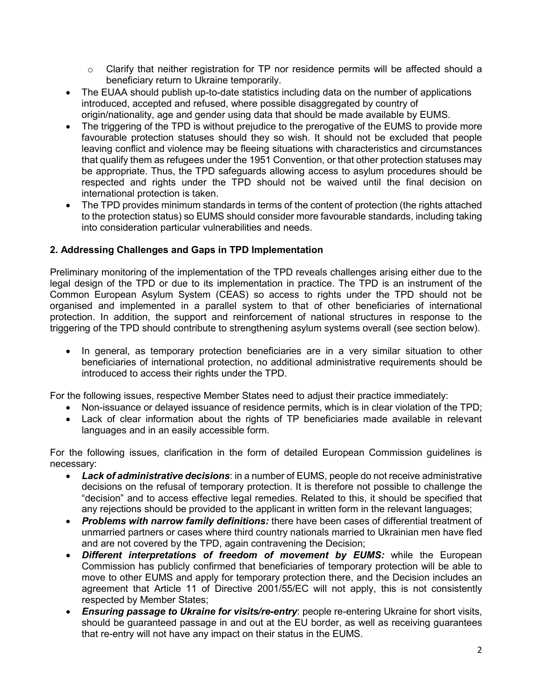- $\circ$  Clarify that neither registration for TP nor residence permits will be affected should a beneficiary return to Ukraine temporarily.
- The EUAA should publish up-to-date statistics including data on the number of applications introduced, accepted and refused, where possible disaggregated by country of origin/nationality, age and gender using data that should be made available by EUMS.
- The triggering of the TPD is without prejudice to the prerogative of the EUMS to provide more favourable protection statuses should they so wish. It should not be excluded that people leaving conflict and violence may be fleeing situations with characteristics and circumstances that qualify them as refugees under the 1951 Convention, or that other protection statuses may be appropriate. Thus, the TPD safeguards allowing access to asylum procedures should be respected and rights under the TPD should not be waived until the final decision on international protection is taken.
- The TPD provides minimum standards in terms of the content of protection (the rights attached to the protection status) so EUMS should consider more favourable standards, including taking into consideration particular vulnerabilities and needs.

## **2. Addressing Challenges and Gaps in TPD Implementation**

Preliminary monitoring of the implementation of the TPD reveals challenges arising either due to the legal design of the TPD or due to its implementation in practice. The TPD is an instrument of the Common European Asylum System (CEAS) so access to rights under the TPD should not be organised and implemented in a parallel system to that of other beneficiaries of international protection. In addition, the support and reinforcement of national structures in response to the triggering of the TPD should contribute to strengthening asylum systems overall (see section below).

• In general, as temporary protection beneficiaries are in a very similar situation to other beneficiaries of international protection, no additional administrative requirements should be introduced to access their rights under the TPD.

For the following issues, respective Member States need to adjust their practice immediately:

- Non-issuance or delayed issuance of residence permits, which is in clear violation of the TPD;
- Lack of clear information about the rights of TP beneficiaries made available in relevant languages and in an easily accessible form.

For the following issues, clarification in the form of detailed European Commission guidelines is necessary:

- *Lack of administrative decisions*: in a number of EUMS, people do not receive administrative decisions on the refusal of temporary protection. It is therefore not possible to challenge the "decision" and to access effective legal remedies. Related to this, it should be specified that any rejections should be provided to the applicant in written form in the relevant languages;
- *Problems with narrow family definitions:* there have been cases of differential treatment of unmarried partners or cases where third country nationals married to Ukrainian men have fled and are not covered by the TPD, again contravening the Decision;
- *Different interpretations of freedom of movement by EUMS:* while the European Commission has publicly confirmed that beneficiaries of temporary protection will be able to move to other EUMS and apply for temporary protection there, and the Decision includes an agreement that Article 11 of Directive 2001/55/EC will not apply, this is not consistently respected by Member States;
- *Ensuring passage to Ukraine for visits/re-entry*: people re-entering Ukraine for short visits, should be guaranteed passage in and out at the EU border, as well as receiving guarantees that re-entry will not have any impact on their status in the EUMS.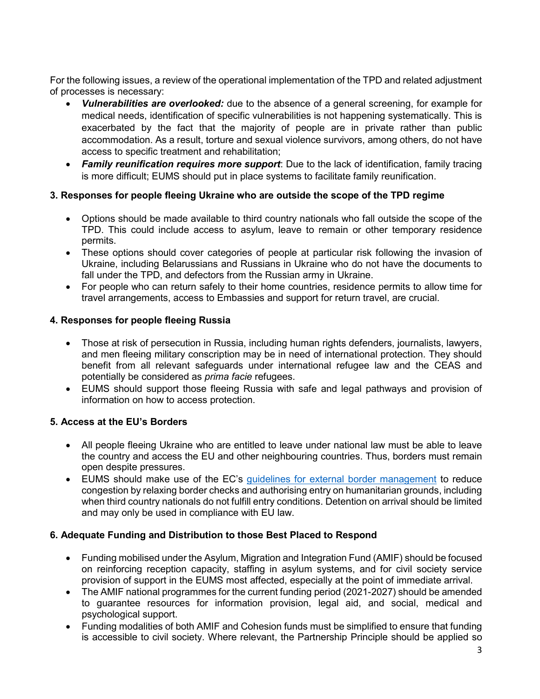For the following issues, a review of the operational implementation of the TPD and related adjustment of processes is necessary:

- *Vulnerabilities are overlooked:* due to the absence of a general screening, for example for medical needs, identification of specific vulnerabilities is not happening systematically. This is exacerbated by the fact that the majority of people are in private rather than public accommodation. As a result, torture and sexual violence survivors, among others, do not have access to specific treatment and rehabilitation;
- *Family reunification requires more support*: Due to the lack of identification, family tracing is more difficult; EUMS should put in place systems to facilitate family reunification.

#### **3. Responses for people fleeing Ukraine who are outside the scope of the TPD regime**

- Options should be made available to third country nationals who fall outside the scope of the TPD. This could include access to asylum, leave to remain or other temporary residence permits.
- These options should cover categories of people at particular risk following the invasion of Ukraine, including Belarussians and Russians in Ukraine who do not have the documents to fall under the TPD, and defectors from the Russian army in Ukraine.
- For people who can return safely to their home countries, residence permits to allow time for travel arrangements, access to Embassies and support for return travel, are crucial.

#### **4. Responses for people fleeing Russia**

- Those at risk of persecution in Russia, including human rights defenders, journalists, lawyers, and men fleeing military conscription may be in need of international protection. They should benefit from all relevant safeguards under international refugee law and the CEAS and potentially be considered as *prima facie* refugees.
- EUMS should support those fleeing Russia with safe and legal pathways and provision of information on how to access protection.

#### **5. Access at the EU's Borders**

- All people fleeing Ukraine who are entitled to leave under national law must be able to leave the country and access the EU and other neighbouring countries. Thus, borders must remain open despite pressures.
- EUMS should make use of the EC's [guidelines for external border management](https://ec.europa.eu/home-affairs/communication-providing-operational-guidelines-external-border-management-eu-ukraine-borders_en) to reduce congestion by relaxing border checks and authorising entry on humanitarian grounds, including when third country nationals do not fulfill entry conditions. Detention on arrival should be limited and may only be used in compliance with EU law.

#### **6. Adequate Funding and Distribution to those Best Placed to Respond**

- Funding mobilised under the Asylum, Migration and Integration Fund (AMIF) should be focused on reinforcing reception capacity, staffing in asylum systems, and for civil society service provision of support in the EUMS most affected, especially at the point of immediate arrival.
- The AMIF national programmes for the current funding period (2021-2027) should be amended to guarantee resources for information provision, legal aid, and social, medical and psychological support.
- Funding modalities of both AMIF and Cohesion funds must be simplified to ensure that funding is accessible to civil society. Where relevant, the Partnership Principle should be applied so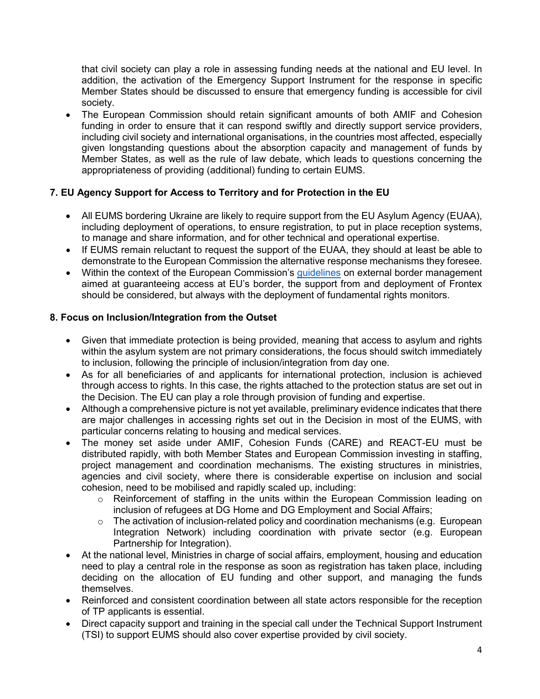that civil society can play a role in assessing funding needs at the national and EU level. In addition, the activation of the Emergency Support Instrument for the response in specific Member States should be discussed to ensure that emergency funding is accessible for civil society.

• The European Commission should retain significant amounts of both AMIF and Cohesion funding in order to ensure that it can respond swiftly and directly support service providers, including civil society and international organisations, in the countries most affected, especially given longstanding questions about the absorption capacity and management of funds by Member States, as well as the rule of law debate, which leads to questions concerning the appropriateness of providing (additional) funding to certain EUMS.

## **7. EU Agency Support for Access to Territory and for Protection in the EU**

- All EUMS bordering Ukraine are likely to require support from the EU Asylum Agency (EUAA), including deployment of operations, to ensure registration, to put in place reception systems, to manage and share information, and for other technical and operational expertise.
- If EUMS remain reluctant to request the support of the EUAA, they should at least be able to demonstrate to the European Commission the alternative response mechanisms they foresee.
- Within the context of the European Commission's quidelines on external border management aimed at guaranteeing access at EU's border, the support from and deployment of Frontex should be considered, but always with the deployment of fundamental rights monitors.

## **8. Focus on Inclusion/Integration from the Outset**

- Given that immediate protection is being provided, meaning that access to asylum and rights within the asylum system are not primary considerations, the focus should switch immediately to inclusion, following the principle of inclusion/integration from day one.
- As for all beneficiaries of and applicants for international protection, inclusion is achieved through access to rights. In this case, the rights attached to the protection status are set out in the Decision. The EU can play a role through provision of funding and expertise.
- Although a comprehensive picture is not yet available, preliminary evidence indicates that there are major challenges in accessing rights set out in the Decision in most of the EUMS, with particular concerns relating to housing and medical services.
- The money set aside under AMIF, Cohesion Funds (CARE) and REACT-EU must be distributed rapidly, with both Member States and European Commission investing in staffing, project management and coordination mechanisms. The existing structures in ministries, agencies and civil society, where there is considerable expertise on inclusion and social cohesion, need to be mobilised and rapidly scaled up, including:
	- $\circ$  Reinforcement of staffing in the units within the European Commission leading on inclusion of refugees at DG Home and DG Employment and Social Affairs;
	- o The activation of inclusion-related policy and coordination mechanisms (e.g. European Integration Network) including coordination with private sector (e.g. European Partnership for Integration).
- At the national level, Ministries in charge of social affairs, employment, housing and education need to play a central role in the response as soon as registration has taken place, including deciding on the allocation of EU funding and other support, and managing the funds themselves.
- Reinforced and consistent coordination between all state actors responsible for the reception of TP applicants is essential.
- Direct capacity support and training in the special call under the Technical Support Instrument (TSI) to support EUMS should also cover expertise provided by civil society.